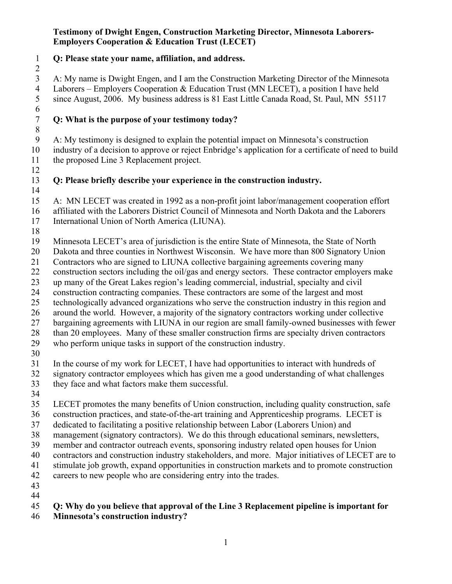#### **Testimony of Dwight Engen, Construction Marketing Director, Minnesota Laborers-Employers Cooperation & Education Trust (LECET)**

**Q: Please state your name, affiliation, and address.**

 A: My name is Dwight Engen, and I am the Construction Marketing Director of the Minnesota 4 Laborers – Employers Cooperation & Education Trust (MN LECET), a position I have held<br>5 since August, 2006. My business address is 81 East Little Canada Road, St. Paul, MN 5511 since August, 2006. My business address is 81 East Little Canada Road, St. Paul, MN 55117 

# **Q: What is the purpose of your testimony today?**

 A: My testimony is designed to explain the potential impact on Minnesota's construction industry of a decision to approve or reject Enbridge's application for a certificate of need to build the proposed Line 3 Replacement project.

## **Q: Please briefly describe your experience in the construction industry.**

 A: MN LECET was created in 1992 as a non-profit joint labor/management cooperation effort affiliated with the Laborers District Council of Minnesota and North Dakota and the Laborers International Union of North America (LIUNA).

Minnesota LECET's area of jurisdiction is the entire State of Minnesota, the State of North

- Dakota and three counties in Northwest Wisconsin. We have more than 800 Signatory Union
- Contractors who are signed to LIUNA collective bargaining agreements covering many
- construction sectors including the oil/gas and energy sectors. These contractor employers make
- up many of the Great Lakes region's leading commercial, industrial, specialty and civil
- construction contracting companies. These contractors are some of the largest and most
- technologically advanced organizations who serve the construction industry in this region and
- around the world. However, a majority of the signatory contractors working under collective
- bargaining agreements with LIUNA in our region are small family-owned businesses with fewer
- 28 than 20 employees. Many of these smaller construction firms are specialty driven contractors who perform unique tasks in support of the construction industry.
- 
- In the course of my work for LECET, I have had opportunities to interact with hundreds of
- signatory contractor employees which has given me a good understanding of what challenges
- they face and what factors make them successful.
- 
- LECET promotes the many benefits of Union construction, including quality construction, safe
- construction practices, and state-of-the-art training and Apprenticeship programs. LECET is
- dedicated to facilitating a positive relationship between Labor (Laborers Union) and
- management (signatory contractors). We do this through educational seminars, newsletters,
- member and contractor outreach events, sponsoring industry related open houses for Union
- contractors and construction industry stakeholders, and more. Major initiatives of LECET are to
- stimulate job growth, expand opportunities in construction markets and to promote construction
- careers to new people who are considering entry into the trades.
- 

## **Q: Why do you believe that approval of the Line 3 Replacement pipeline is important for**

**Minnesota's construction industry?**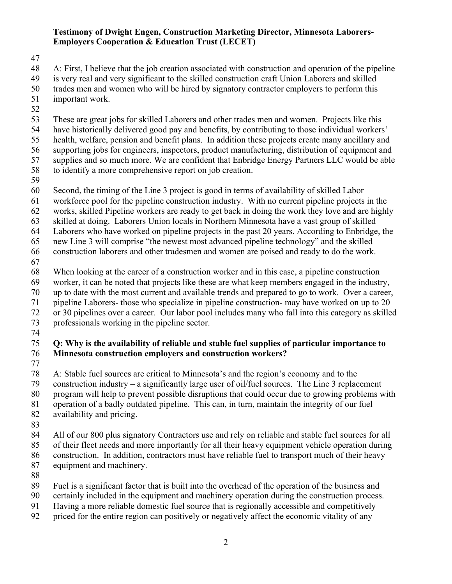#### **Testimony of Dwight Engen, Construction Marketing Director, Minnesota Laborers-Employers Cooperation & Education Trust (LECET)**

A: First, I believe that the job creation associated with construction and operation of the pipeline

is very real and very significant to the skilled construction craft Union Laborers and skilled

trades men and women who will be hired by signatory contractor employers to perform this

- important work.
- 

 These are great jobs for skilled Laborers and other trades men and women. Projects like this have historically delivered good pay and benefits, by contributing to those individual workers'

health, welfare, pension and benefit plans. In addition these projects create many ancillary and

supporting jobs for engineers, inspectors, product manufacturing, distribution of equipment and

supplies and so much more. We are confident that Enbridge Energy Partners LLC would be able

- to identify a more comprehensive report on job creation.
- 

Second, the timing of the Line 3 project is good in terms of availability of skilled Labor

workforce pool for the pipeline construction industry. With no current pipeline projects in the

- works, skilled Pipeline workers are ready to get back in doing the work they love and are highly
- skilled at doing. Laborers Union locals in Northern Minnesota have a vast group of skilled
- Laborers who have worked on pipeline projects in the past 20 years. According to Enbridge, the

new Line 3 will comprise "the newest most advanced pipeline technology" and the skilled

construction laborers and other tradesmen and women are poised and ready to do the work.

When looking at the career of a construction worker and in this case, a pipeline construction

worker, it can be noted that projects like these are what keep members engaged in the industry,

up to date with the most current and available trends and prepared to go to work. Over a career,

pipeline Laborers- those who specialize in pipeline construction- may have worked on up to 20

or 30 pipelines over a career. Our labor pool includes many who fall into this category as skilled

 professionals working in the pipeline sector. 

### **Q: Why is the availability of reliable and stable fuel supplies of particular importance to Minnesota construction employers and construction workers?**

 A: Stable fuel sources are critical to Minnesota's and the region's economy and to the construction industry – a significantly large user of oil/fuel sources. The Line 3 replacement program will help to prevent possible disruptions that could occur due to growing problems with operation of a badly outdated pipeline. This can, in turn, maintain the integrity of our fuel availability and pricing.

All of our 800 plus signatory Contractors use and rely on reliable and stable fuel sources for all

of their fleet needs and more importantly for all their heavy equipment vehicle operation during

construction. In addition, contractors must have reliable fuel to transport much of their heavy

- equipment and machinery.
- 

Fuel is a significant factor that is built into the overhead of the operation of the business and

certainly included in the equipment and machinery operation during the construction process.

- Having a more reliable domestic fuel source that is regionally accessible and competitively
- priced for the entire region can positively or negatively affect the economic vitality of any